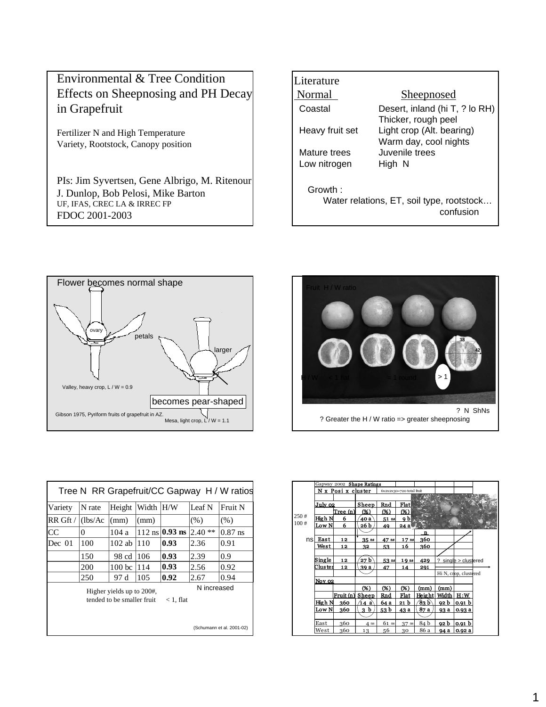

Fertilizer N and High Temperature Variety, Rootstock, Canopy position

PIs: Jim Syvertsen, Gene Albrigo, M. Ritenour J. Dunlop, Bob Pelosi, Mike Barton UF, IFAS, CREC LA & IRREC FP FDOC 2001-2003

| Literature      |                                           |
|-----------------|-------------------------------------------|
| Normal          | <b>Sheepnosed</b>                         |
| Coastal         | Desert, inland (hi T, ? lo RH)            |
|                 | Thicker, rough peel                       |
| Heavy fruit set | Light crop (Alt. bearing)                 |
|                 | Warm day, cool nights                     |
| Mature trees    | Juvenile trees                            |
| Low nitrogen    | High N                                    |
|                 |                                           |
| Growth:         |                                           |
|                 | Water relations, ET, soil type, rootstock |
|                 | confusion                                 |





|              |          |                                                         |           |                                       |             | Tree N RR Grapefruit/CC Gapway H / W ratios |
|--------------|----------|---------------------------------------------------------|-----------|---------------------------------------|-------------|---------------------------------------------|
| Variety      | N rate   | Height                                                  | Width H/W |                                       | Leaf N      | Fruit N                                     |
| $RR$ Gft $/$ | (lbs/Ac) | (mm)                                                    | (mm)      |                                       | (% )        | (% )                                        |
| <b>CC</b>    | 0        | 104a                                                    |           | $112 \text{ ns} \,  0.93 \text{ ns} $ | $2.40**$    | $0.87$ ns                                   |
| Dec 01       | 100      | $102$ ab                                                | 110       | 0.93                                  | 2.36        | 0.91                                        |
|              | 150      | 98 cd                                                   | 106       | 0.93                                  | 2.39        | 0.9                                         |
|              | 200      | 100 <sub>bc</sub>                                       | 114       | 0.93                                  | 2.56        | 0.92                                        |
|              | 250      | 97 d                                                    | 105       | 0.92                                  | 2.67        | 0.94                                        |
|              |          | Higher yields up to 200#,<br>tended to be smaller fruit |           | $< 1.$ flat                           | N increased |                                             |
|              |          |                                                         |           |                                       |             | (Schumann et al. 2001-02)                   |

|      |               | Gapway 2002 Shape Ratings |                  |         |                          |        |             |                             |  |
|------|---------------|---------------------------|------------------|---------|--------------------------|--------|-------------|-----------------------------|--|
|      |               | N x Posi x cluster        |                  |         | 6x2x2x30=720 total fruit |        |             |                             |  |
|      |               |                           |                  |         |                          |        |             |                             |  |
|      | July 02       |                           | Sheep            | Rnd     | Flat                     |        |             |                             |  |
|      |               | Tree (n)                  | (%)              | (%)     | (36)                     |        |             |                             |  |
| 250# | High N        | 6                         | 40 a             | 51 m    | <u>9 bl</u>              |        |             |                             |  |
| 100# | Low N         | 6                         | 26 b             | 49      | 24 al                    |        |             |                             |  |
|      |               |                           |                  |         |                          | n      |             |                             |  |
| nsl  | East          | 12                        | 35 <sub>ps</sub> | 47 ns   | 17 <sub>ns</sub>         | 360    |             |                             |  |
|      | West          | 12                        | 32               | 53      | 16                       | 360    |             |                             |  |
|      |               |                           |                  |         |                          |        |             |                             |  |
|      | <u>Single</u> | 12                        | 27 b             | 53 m    | 19 as                    | 429    | っ           | $sin \alpha$ le > clustered |  |
|      | Cluster       | 12                        | <u>39 a </u>     | 47      | 14                       | 291    |             |                             |  |
|      |               |                           |                  |         |                          |        |             | Hi N, crop, clustered       |  |
|      | Nov 02        |                           |                  |         |                          |        |             |                             |  |
|      |               |                           | (%)              | (96)    | (%)                      | (mm)   | (mm)        |                             |  |
|      |               | Fruit (n)                 | Sheep            | Rnd     | Flat                     | Height | Width       | H:W                         |  |
|      | High N        | 360                       | 14 a             | 64 a    | 21 b                     | 83 b   | <u>92 b</u> | <u>0.91 b</u>               |  |
|      | Low N         | 360                       | 3 b              | 53 b    | 43 a                     | 87 a   | 93 a        | 0.93a                       |  |
|      |               |                           |                  |         |                          |        |             |                             |  |
|      | East          | 360                       | 4 <sub>ns</sub>  | $61$ ns | $37$ ns                  | 84 b   | 92 b        | <u>0.91 b</u>               |  |
|      | West          | 360                       | 13               | 56      | 30                       | 86 a   | 94 a        | 0.92a                       |  |
|      |               |                           |                  |         |                          |        |             |                             |  |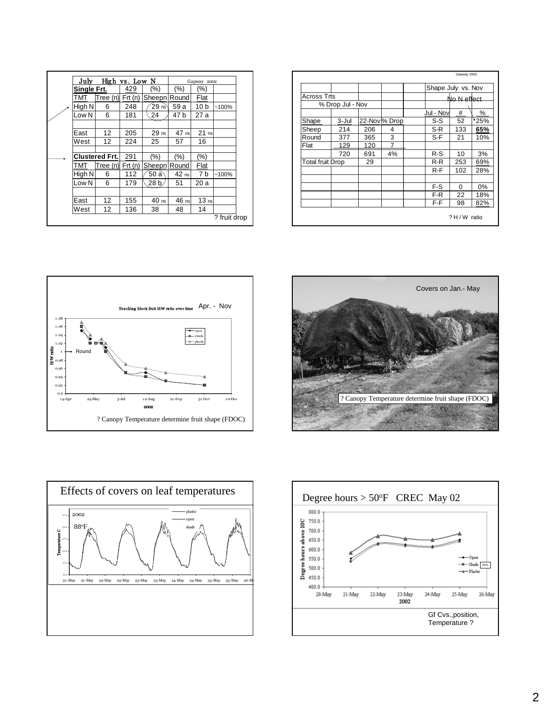|                         |                  |     |              | Shape July vs. Nov |             |      |
|-------------------------|------------------|-----|--------------|--------------------|-------------|------|
| <b>Across Trts</b>      |                  |     |              |                    | No N effect |      |
|                         | % Drop Jul - Nov |     |              |                    |             |      |
|                         |                  |     |              | Jul - Nov          | #           | %    |
| Shape                   | 3-Jul            |     | 22-Nov% Drop | S-S                | 52          | 125% |
| Sheep                   | 214              | 206 | 4            | S-R                | 133         | 65%  |
| Round                   | 377              | 365 | 3            | S-F                | 21          | 10%  |
| Flat                    | 129              | 120 | 7            |                    |             |      |
|                         | 720              | 691 | 4%           | $R-S$              | 10          | 3%   |
| <b>Total fruit Drop</b> |                  | 29  |              | R-R                | 253         | 69%  |
|                         |                  |     |              | $R-F$              | 102         | 28%  |
|                         |                  |     |              | F-S                | $\Omega$    | 0%   |
|                         |                  |     |              | F-R                | 22          | 18%  |
|                         |                  |     |              | F-F                | 98          | 82%  |



July High vs. Low N Gapway 2002 **Single Frt.**  $\begin{array}{|c|c|c|c|c|} \hline \end{array}$  (%) (%) (%) (%) TMT Tree (n) Frt (n) Sheepn Round Flat







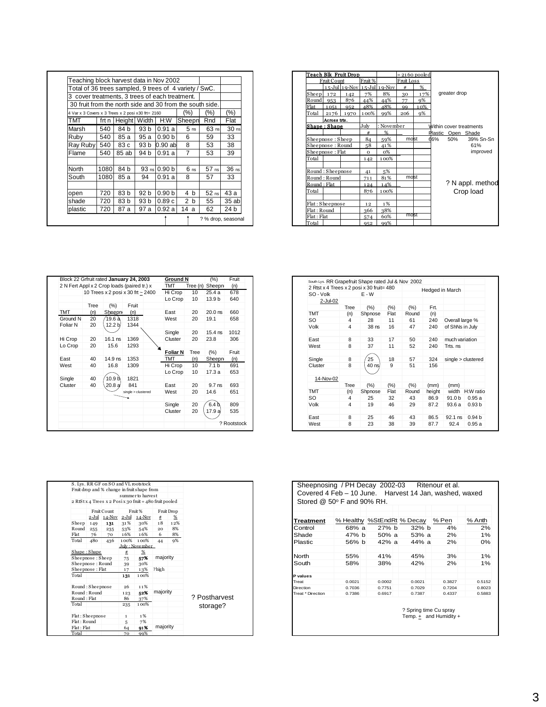| Teaching block harvest data in Nov 2002                  |       |              |                 |                   |                 |                    |                  |  |  |
|----------------------------------------------------------|-------|--------------|-----------------|-------------------|-----------------|--------------------|------------------|--|--|
| Total of 36 trees sampled, 9 trees of 4 variety / SwC.   |       |              |                 |                   |                 |                    |                  |  |  |
| 3 cover treatments, 3 trees of each treatment.           |       |              |                 |                   |                 |                    |                  |  |  |
| 30 fruit from the north side and 30 from the south side. |       |              |                 |                   |                 |                    |                  |  |  |
| 4 Var x 3 Covers x 3 Trees x 2 posi x 30 frt= 2160       |       |              |                 |                   | $(\%)$          | $(\% )$            | $(\% )$          |  |  |
| TMT                                                      | frt n | Height Width |                 | H:W               | Sheepn          | Rnd                | Flat             |  |  |
| Marsh                                                    | 540   | 84 b         | 93 <sub>b</sub> | 0.91 a            | 5 <sub>ns</sub> | $63$ ns            | 30 <sub>ns</sub> |  |  |
| Rubv                                                     | 540   | 85 a         | 95 a            | 0.90 <sub>b</sub> | 6               | 59                 | 33               |  |  |
| Ray Ruby 540                                             |       | 83 c         | 93 b            | 0.90ab            | 8               | 53                 | 38               |  |  |
| Flame                                                    | 540   | 85 ab        | 94 b            | 0.91a             | 7               | 53                 | 39               |  |  |
| North                                                    | 1080  | 84 b         |                 | 93 ns 0.90 b      | 6 <sub>ns</sub> | $57$ <sub>ns</sub> | 36 <sub>ns</sub> |  |  |
| South                                                    | 1080  | 85 a         | 94              | 0.91a             | 8               | 57                 | 33               |  |  |
| open                                                     | 720   | 83 b         | 92 <sub>b</sub> | 0.90 <sub>b</sub> | 4<br>b          | $52$ ns            | 43 а             |  |  |
| shade                                                    | 720   | 83 b         | 93 b            | 0.89c             | 2<br>b          | 55                 | 35 abl           |  |  |
| plastic                                                  | 720   | 87 a         | 97 a            | 0.92a             | 14 а            | 62                 | 24 b             |  |  |
|                                                          |       |              |                 |                   |                 | ? % drop, seasonal |                  |  |  |

|              |                  | Teach Blk Fruit Drop        |          |                |            | $= 2160$ pooled |                         |                  |
|--------------|------------------|-----------------------------|----------|----------------|------------|-----------------|-------------------------|------------------|
|              | Fruit Count      |                             | Fruit %  |                | Fruit Loss |                 |                         |                  |
|              |                  | 15-Jul 19-Nov 15-Jul 19-Nov |          |                | #          | %               |                         |                  |
| Sheep        | 172              | 142                         | 7%       | 8%             | 30         | 17%             | greater drop            |                  |
| Round        | 953              | 876                         | 44%      | 44%            | 77         | 9%              |                         |                  |
| Flat         | 1051             | 052                         | 48%      | 48%            | QQ         | 10%             |                         |                  |
| Total        | 2176             | 1970                        | 100%     | 99%            | 206        | 9%              |                         |                  |
|              | Across trts.     |                             |          |                |            |                 |                         |                  |
|              | Shape: Shape     |                             | July     | : November     |            |                 | Within cover treatments |                  |
|              |                  |                             | #        | %              |            |                 | Plastic Open Shade      |                  |
|              | Sheepnose: Sheep |                             | 84       | 59%            | molst      |                 | 66%<br>50%              | 39% Sn-Sn        |
|              | Sheepnose: Round |                             | 58       | 41%            |            |                 |                         | 61%              |
|              | Sheepnose: Flat  |                             | $\Omega$ | 0 <sup>%</sup> |            |                 |                         | improved         |
| Total        |                  |                             | 142      | 100%           |            |                 |                         |                  |
|              | Round: Sheepnose |                             | 41       | 5%             |            |                 |                         |                  |
|              | Round: Round     |                             | 711      | 81%            | molst      |                 |                         |                  |
| Round: Flat  |                  |                             | 124      | 14%            |            |                 |                         | ? N appl. method |
| Total        |                  |                             | 876      | 100%           |            |                 |                         | Crop load        |
|              | Flat: Sheepnose  |                             | 12       | 1%             |            |                 |                         |                  |
| Flat : Round |                  |                             | 366      | 38%            |            |                 |                         |                  |
| Flat : Flat  |                  |                             | 574      | 60%            | molst      |                 |                         |                  |
| Total        |                  |                             | 952      | 99%            |            |                 |                         |                  |

| Block 22 Grfruit rated January 24, 2003     |      |                                   |                    | <b>Ground N</b> |          | (%)               | Fruit       |
|---------------------------------------------|------|-----------------------------------|--------------------|-----------------|----------|-------------------|-------------|
| 2 N Fert Appl x 2 Crop loads (paired tr.) x |      |                                   |                    | <b>TMT</b>      | Tree (n) | Sheepn            | (n)         |
|                                             |      | 10 Trees x 2 posi x 30 frt ~ 2400 |                    | Hi Crop         | 10       | 25.4 a            | 678         |
|                                             |      |                                   |                    | Lo Crop         | 10       | 13.9 b            | 640         |
|                                             | Tree | (%)                               | Fruit              |                 |          |                   |             |
| TMT                                         | (n)  | Sheepn                            | (n)                | East            | 20       | $20.0$ ns         | 660         |
| Ground N                                    | 20   | 19.6 à                            | 1318               | West            | 20       | 19.1              | 658         |
| Foliar N                                    | 20   | 12.2 b/                           | 1344               |                 |          |                   |             |
|                                             |      |                                   |                    | Single          | 20       | $15.4$ ns         | 1012        |
| Hi Crop                                     | 20   | $16.1$ ns                         | 1369               | Cluster         | 20       | 23.8              | 306         |
| Lo Crop                                     | 20   | 15.6                              | 1293               |                 |          |                   |             |
|                                             |      |                                   |                    | <b>Foliar N</b> | Tree     | $(\%)$            | Fruit       |
| East                                        | 40   | $14.9$ ns                         | 1353               | <b>TMT</b>      | (n)      | Sheepn            | (n)         |
| West                                        | 40   | 16.8                              | 1309               | Hi Crop         | 10       | 7.1 <sub>b</sub>  | 691         |
|                                             |      |                                   |                    | Lo Crop         | 10       | 17.3 a            | 653         |
| Single                                      | 40   | 10.9 b                            | 1821               |                 |          |                   |             |
| Cluster                                     | 40   | 20.8a                             | 841                | East            | 20       | 9.7 <sub>ns</sub> | 693         |
|                                             |      |                                   | single > clustered | West            | 20       | 14.6              | 651         |
|                                             |      |                                   |                    |                 |          |                   |             |
|                                             |      |                                   |                    | Single          | 20       | 6.4 <sub>b</sub>  | 809         |
|                                             |      |                                   |                    | Cluster         | 20       | 17.9 a            | 535         |
|                                             |      |                                   |                    |                 |          |                   |             |
|                                             |      |                                   |                    |                 |          |                   | ? Rootstock |

| 2 Rtst x 4 Trees x 2 posi x 30 fruit= 480 |      |                  |      |       | Hedged in March |                   |                    |
|-------------------------------------------|------|------------------|------|-------|-----------------|-------------------|--------------------|
| SO - Volk                                 |      | F-W              |      |       |                 |                   |                    |
| $2$ -Jul-02                               |      |                  |      |       |                 |                   |                    |
|                                           | Tree | (% )             | (% ) | (% )  | Frt.            |                   |                    |
| <b>TMT</b>                                | (n)  | Shpnose          | Flat | Round | (n)             |                   |                    |
| SO                                        | 4    | 28               | 11   | 61    | 240             | Overall large %   |                    |
| Volk                                      | 4    | 38 <sub>ns</sub> | 16   | 47    | 240             | of ShNs in July   |                    |
|                                           |      |                  |      |       |                 |                   |                    |
| East                                      | 8    | 33               | 17   | 50    | 240             | much variation    |                    |
| West                                      | 8    | 37               | 11   | 52    | 240             | Trts, ns          |                    |
|                                           |      |                  |      |       |                 |                   |                    |
| Single                                    | 8    | 25               | 18   | 57    | 324             |                   | sinale > clustered |
| Cluster                                   | 8    | 40 ns/           | 9    | 51    | 156             |                   |                    |
|                                           |      |                  |      |       |                 |                   |                    |
| 14-Nov-02                                 |      |                  |      |       |                 |                   |                    |
|                                           | Tree | (% )             | (% ) | (% )  | (mm)            | (mm)              |                    |
| TMT                                       | (n)  | Shpnose          | Flat | Round | height          | width             | H:W ratio          |
| SO.                                       | 4    | 25               | 32   | 43    | 86.9            | 91.0 <sub>b</sub> | 0.95a              |
| Volk                                      | 4    | 19               | 46   | 29    | 87.2            | 93.6a             | 0.93 <sub>b</sub>  |
|                                           |      |                  |      |       |                 |                   |                    |
| East                                      | 8    | 25               | 46   | 43    | 86.5            | $92.1$ ns         | 0.94 <sub>b</sub>  |
| West                                      | 8    | 23               | 38   | 39    | 87.7            | 92.4              | 0.95a              |

|                  |         | Fruit drop and % change in fruit shape from             |      |                   |          |            |               |
|------------------|---------|---------------------------------------------------------|------|-------------------|----------|------------|---------------|
|                  |         |                                                         |      | summer to harvest |          |            |               |
|                  |         | 2 RtSt x 4 Trees x 2 Posi x 30 fruit = 480 fruit pooled |      |                   |          |            |               |
|                  |         | <b>Fruit Count</b>                                      |      | Fruit %           |          | Fruit Drop |               |
|                  | $2-Jul$ | $14$ -Nov $2$ -Jul                                      |      | $14$ -Nov         | #        | %          |               |
| Sheep            | 149     | 131                                                     | 31%  | 30%               | 18       | 12%        |               |
| Round            | 255     | 235                                                     | 53%  | 54%               | 20       | 8%         |               |
| Flat             | 76      | 70                                                      | 16%  | 16%               | 6        | 8%         |               |
| Total            | 480     | 436                                                     | 100% | 100%              | 44       | 9%         |               |
|                  |         |                                                         |      | July: November    |          |            |               |
| Shape: Shape     |         |                                                         | #    | $\%$              |          |            |               |
| Sheepnose: Sheep |         |                                                         | 75   | 57%               | majority |            |               |
| Sheepnose: Round |         |                                                         | 39   | 30%               |          |            |               |
| Sheepnose: Flat  |         |                                                         | 17   | 13%               | ? high   |            |               |
| Total            |         |                                                         | 131  | 100%              |          |            |               |
| Round: Sheepnose |         |                                                         | 26   | 11%               |          |            |               |
| Round: Round     |         |                                                         | 123  | 52%               | majority |            |               |
| Round: Flat      |         |                                                         | 86   | 37%               |          |            | ? Postharvest |
| Total            |         |                                                         | 235  | 100%              |          |            | storage?      |
| Flat: Sheepnose  |         |                                                         | 1    | 1%                |          |            |               |
| Flat: Round      |         |                                                         | 5    | 7%                |          |            |               |
| Flat: Flat       |         |                                                         | 64   | 91%               | majority |            |               |
| Total            |         |                                                         | 70   | 99%               |          |            |               |

| <b>Treatment</b>  |        |        | % Healthy %StEndRt % Decay | % Pen  | % Anth |
|-------------------|--------|--------|----------------------------|--------|--------|
| Control           | 68% a  | 27% b  | $32\%$ b                   | 4%     | 2%     |
| Shade             | 47% b  | 50% a  | 53% a                      | 2%     | 1%     |
| Plastic           | 56% b  | 42% a  | 44% a                      | 2%     | 0%     |
|                   |        |        |                            |        |        |
| North             | 55%    | 41%    | 45%                        | 3%     | $1\%$  |
| South             | 58%    | 38%    | 42%                        | 2%     | 1%     |
|                   |        |        |                            |        |        |
| P values          |        |        |                            |        |        |
| Treat             | 0.0021 | 0.0002 | 0.0021                     | 0.3827 | 0.5152 |
| Direction         | 0.7036 | 0.7751 | 0.7029                     | 0.7204 | 0.8023 |
| Treat * Direction | 0.7386 | 0.6917 | 0.7387                     | 0.4337 | 0.5883 |